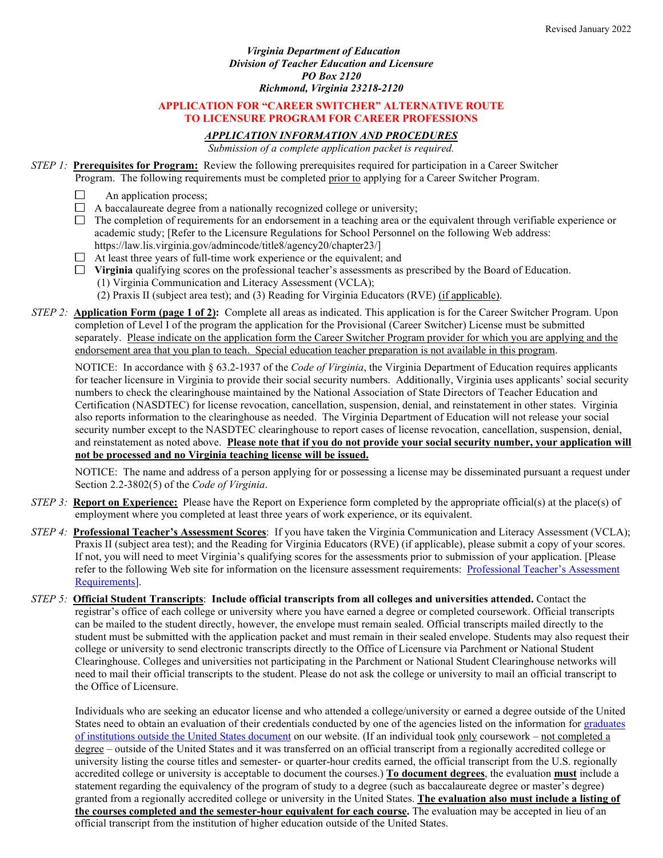### *Virginia Department of Education Division of Teacher Education and Licensure PO Box 2120 Richmond, Virginia 23218-2120*

# **APPLICATION FOR "CAREER SWITCHER" ALTERNATIVE ROUTE TO LICENSURE PROGRAM FOR CAREER PROFESSIONS**

# *APPLICATION INFORMATION AND PROCEDURES*

*Submission of a complete application packet is required.*

#### *STEP 1:* **Prerequisites for Program:** Review the following prerequisites required for participation in a Career Switcher Program. The following requirements must be completed prior to applying for a Career Switcher Program.

- - $\Box$ An application process;
	- $\Box$  A baccalaureate degree from a nationally recognized college or university;
	- $\Box$  The completion of requirements for an endorsement in a teaching area or the equivalent through verifiable experience or academic study; [Refer to the Licensure Regulations for School Personnel on the following Web address: https://law.lis.virginia.gov/admincode/title8/agency20/chapter23/]
	- $\Box$  At least three years of full-time work experience or the equivalent; and
	- $\Box$  Virginia qualifying scores on the professional teacher's assessments as prescribed by the Board of Education. (1) Virginia Communication and Literacy Assessment (VCLA);
		- (2) Praxis II (subject area test); and (3) Reading for Virginia Educators (RVE) (if applicable).
- *STEP 2:* **Application Form (page 1 of 2):** Complete all areas as indicated. This application is for the Career Switcher Program. Upon completion of Level I of the program the application for the Provisional (Career Switcher) License must be submitted separately. Please indicate on the application form the Career Switcher Program provider for which you are applying and the endorsement area that you plan to teach. Special education teacher preparation is not available in this program.

NOTICE: In accordance with § 63.2-1937 of the *Code of Virginia*, the Virginia Department of Education requires applicants for teacher licensure in Virginia to provide their social security numbers. Additionally, Virginia uses applicants' social security numbers to check the clearinghouse maintained by the National Association of State Directors of Teacher Education and Certification (NASDTEC) for license revocation, cancellation, suspension, denial, and reinstatement in other states. Virginia also reports information to the clearinghouse as needed. The Virginia Department of Education will not release your social security number except to the NASDTEC clearinghouse to report cases of license revocation, cancellation, suspension, denial, and reinstatement as noted above. **Please note that if you do not provide your social security number, your application will not be processed and no Virginia teaching license will be issued.** 

NOTICE: The name and address of a person applying for or possessing a license may be disseminated pursuant a request under Section 2.2-3802(5) of the *Code of Virginia*.

- *STEP 3:* **Report on Experience:** Please have the Report on Experience form completed by the appropriate official(s) at the place(s) of employment where you completed at least three years of work experience, or its equivalent.
- *STEP 4:* **Professional Teacher's Assessment Scores**: If you have taken the Virginia Communication and Literacy Assessment (VCLA); Praxis II (subject area test); and the Reading for Virginia Educators (RVE) (if applicable), please submit a copy of your scores. If not, you will need to meet Virginia's qualifying scores for the assessments prior to submission of your application. [Please refer to the following Web site for information on the licensure assessment requirements: [Professional Teacher's Assessment](https://www.doe.virginia.gov/teaching/licensure/professional-assessments.docx)  [Requirements\]](https://www.doe.virginia.gov/teaching/licensure/professional-assessments.docx).
- *STEP 5:* **Official Student Transcripts**: **Include official transcripts from all colleges and universities attended.** Contact the registrar's office of each college or university where you have earned a degree or completed coursework. Official transcripts can be mailed to the student directly, however, the envelope must remain sealed. Official transcripts mailed directly to the student must be submitted with the application packet and must remain in their sealed envelope. Students may also request their college or university to send electronic transcripts directly to the Office of Licensure via Parchment or National Student Clearinghouse. Colleges and universities not participating in the Parchment or National Student Clearinghouse networks will need to mail their official transcripts to the student. Please do not ask the college or university to mail an official transcript to the Office of Licensure.

Individuals who are seeking an educator license and who attended a college/university or earned a degree outside of the United States need to obtain an evaluation of their credentials conducted by one of the agencies listed on the information for [graduates](https://www.doe.virginia.gov/teaching/licensure/graduates_foreign_institutions.docx)  [of institutions outside the United States document](https://www.doe.virginia.gov/teaching/licensure/graduates_foreign_institutions.docx) on our website. (If an individual took only coursework – not completed a degree – outside of the United States and it was transferred on an official transcript from a regionally accredited college or university listing the course titles and semester- or quarter-hour credits earned, the official transcript from the U.S. regionally accredited college or university is acceptable to document the courses.) **To document degrees**, the evaluation **must** include a statement regarding the equivalency of the program of study to a degree (such as baccalaureate degree or master's degree) granted from a regionally accredited college or university in the United States. **The evaluation also must include a listing of the courses completed and the semester-hour equivalent for each course.** The evaluation may be accepted in lieu of an official transcript from the institution of higher education outside of the United States.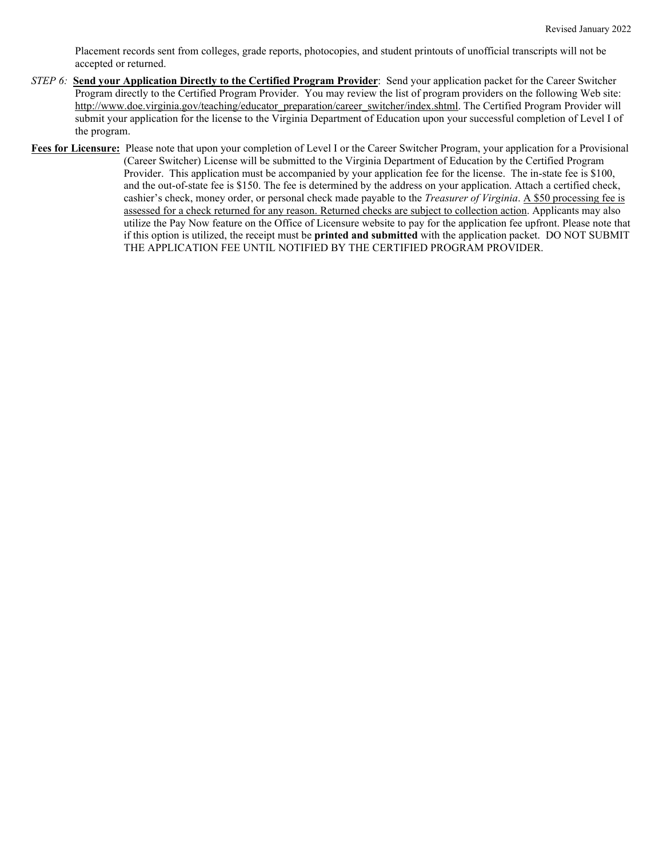Placement records sent from colleges, grade reports, photocopies, and student printouts of unofficial transcripts will not be accepted or returned.

- *STEP 6:* **Send your Application Directly to the Certified Program Provider**: Send your application packet for the Career Switcher Program directly to the Certified Program Provider. You may review the list of program providers on the following Web site: [http://www.doe.virginia.gov/teaching/educator\\_preparation/career\\_switcher/index.shtml.](http://www.doe.virginia.gov/teaching/educator_preparation/career_switcher/index.shtml) The Certified Program Provider will submit your application for the license to the Virginia Department of Education upon your successful completion of Level I of the program.
- **Fees for Licensure:** Please note that upon your completion of Level I or the Career Switcher Program, your application for a Provisional (Career Switcher) License will be submitted to the Virginia Department of Education by the Certified Program Provider. This application must be accompanied by your application fee for the license. The in-state fee is \$100, and the out-of-state fee is \$150. The fee is determined by the address on your application. Attach a certified check, cashier's check, money order, or personal check made payable to the *Treasurer of Virginia*. A \$50 processing fee is assessed for a check returned for any reason. Returned checks are subject to collection action. Applicants may also utilize the Pay Now feature on the Office of Licensure website to pay for the application fee upfront. Please note that if this option is utilized, the receipt must be **printed and submitted** with the application packet. DO NOT SUBMIT THE APPLICATION FEE UNTIL NOTIFIED BY THE CERTIFIED PROGRAM PROVIDER.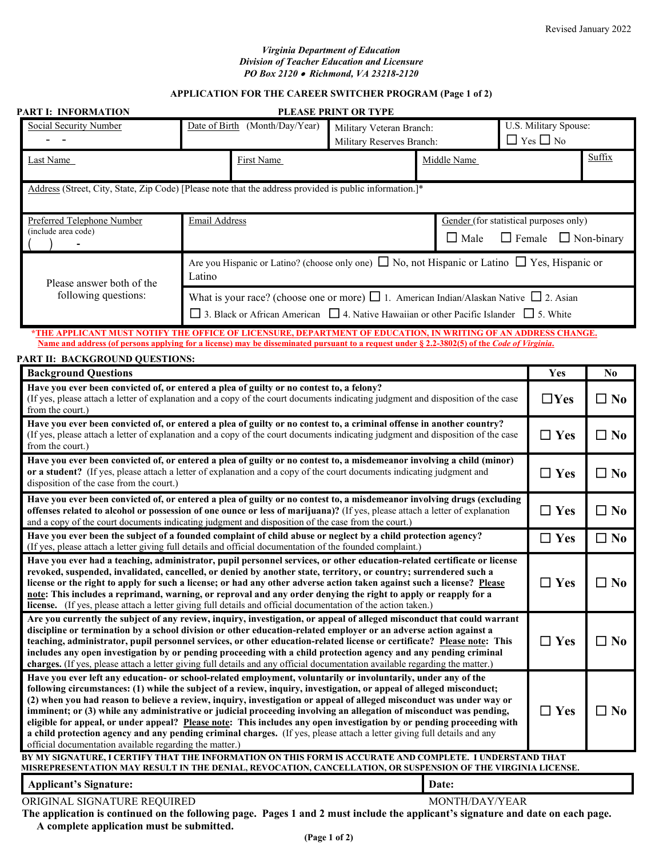## *Virginia Department of Education Division of Teacher Education and Licensure PO Box 2120* • *Richmond, VA 23218-2120*

# **APPLICATION FOR THE CAREER SWITCHER PROGRAM (Page 1 of 2)**

| <b>PART I: INFORMATION</b>                                                                                                                                                                                                                                                                                                                                                                                                                                                                                                                                                                                                                                                                                                                                                                           |                                                                                                                                                                                                             |                                | PLEASE PRINT OR TYPE                                  |                                                       |                                               |              |                |
|------------------------------------------------------------------------------------------------------------------------------------------------------------------------------------------------------------------------------------------------------------------------------------------------------------------------------------------------------------------------------------------------------------------------------------------------------------------------------------------------------------------------------------------------------------------------------------------------------------------------------------------------------------------------------------------------------------------------------------------------------------------------------------------------------|-------------------------------------------------------------------------------------------------------------------------------------------------------------------------------------------------------------|--------------------------------|-------------------------------------------------------|-------------------------------------------------------|-----------------------------------------------|--------------|----------------|
| <b>Social Security Number</b>                                                                                                                                                                                                                                                                                                                                                                                                                                                                                                                                                                                                                                                                                                                                                                        |                                                                                                                                                                                                             | Date of Birth (Month/Day/Year) | Military Veteran Branch:<br>Military Reserves Branch: |                                                       | U.S. Military Spouse:<br>$\Box$ Yes $\Box$ No |              |                |
| Last Name                                                                                                                                                                                                                                                                                                                                                                                                                                                                                                                                                                                                                                                                                                                                                                                            |                                                                                                                                                                                                             | First Name                     |                                                       | Middle Name                                           |                                               |              | Suffix         |
|                                                                                                                                                                                                                                                                                                                                                                                                                                                                                                                                                                                                                                                                                                                                                                                                      | Address (Street, City, State, Zip Code) [Please note that the address provided is public information.]*                                                                                                     |                                |                                                       |                                                       |                                               |              |                |
| Preferred Telephone Number<br>(include area code)                                                                                                                                                                                                                                                                                                                                                                                                                                                                                                                                                                                                                                                                                                                                                    | <b>Email Address</b>                                                                                                                                                                                        |                                |                                                       | Gender (for statistical purposes only)<br>$\Box$ Male | $\Box$ Female $\Box$ Non-binary               |              |                |
| Are you Hispanic or Latino? (choose only one) $\Box$ No, not Hispanic or Latino $\Box$ Yes, Hispanic or<br>Latino<br>Please answer both of the                                                                                                                                                                                                                                                                                                                                                                                                                                                                                                                                                                                                                                                       |                                                                                                                                                                                                             |                                |                                                       |                                                       |                                               |              |                |
| following questions:                                                                                                                                                                                                                                                                                                                                                                                                                                                                                                                                                                                                                                                                                                                                                                                 | What is your race? (choose one or more) $\Box$ 1. American Indian/Alaskan Native $\Box$ 2. Asian<br>$\Box$ 3. Black or African American $\Box$ 4. Native Hawaiian or other Pacific Islander $\Box$ 5. White |                                |                                                       |                                                       |                                               |              |                |
| *THE APPLICANT MUST NOTIFY THE OFFICE OF LICENSURE, DEPARTMENT OF EDUCATION, IN WRITING OF AN ADDRESS CHANGE.                                                                                                                                                                                                                                                                                                                                                                                                                                                                                                                                                                                                                                                                                        |                                                                                                                                                                                                             |                                |                                                       |                                                       |                                               |              |                |
| Name and address (of persons applying for a license) may be disseminated pursuant to a request under § 2.2-3802(5) of the Code of Virginia.<br>PART II: BACKGROUND QUESTIONS:                                                                                                                                                                                                                                                                                                                                                                                                                                                                                                                                                                                                                        |                                                                                                                                                                                                             |                                |                                                       |                                                       |                                               |              |                |
| <b>Background Questions</b>                                                                                                                                                                                                                                                                                                                                                                                                                                                                                                                                                                                                                                                                                                                                                                          |                                                                                                                                                                                                             |                                |                                                       |                                                       | Yes                                           |              | N <sub>0</sub> |
| Have you ever been convicted of, or entered a plea of guilty or no contest to, a felony?<br>(If yes, please attach a letter of explanation and a copy of the court documents indicating judgment and disposition of the case<br>from the court.)                                                                                                                                                                                                                                                                                                                                                                                                                                                                                                                                                     |                                                                                                                                                                                                             |                                |                                                       |                                                       | $\Box$ Yes                                    |              | $\square$ No   |
| Have you ever been convicted of, or entered a plea of guilty or no contest to, a criminal offense in another country?<br>(If yes, please attach a letter of explanation and a copy of the court documents indicating judgment and disposition of the case<br>from the court.)                                                                                                                                                                                                                                                                                                                                                                                                                                                                                                                        |                                                                                                                                                                                                             |                                |                                                       |                                                       | $\Box$ Yes                                    |              | $\Box$ No      |
| Have you ever been convicted of, or entered a plea of guilty or no contest to, a misdemeanor involving a child (minor)<br>or a student? (If yes, please attach a letter of explanation and a copy of the court documents indicating judgment and<br>disposition of the case from the court.)                                                                                                                                                                                                                                                                                                                                                                                                                                                                                                         |                                                                                                                                                                                                             |                                |                                                       |                                                       | $\Box$ Yes                                    |              | $\square$ No   |
| Have you ever been convicted of, or entered a plea of guilty or no contest to, a misdemeanor involving drugs (excluding<br>offenses related to alcohol or possession of one ounce or less of marijuana)? (If yes, please attach a letter of explanation<br>and a copy of the court documents indicating judgment and disposition of the case from the court.)                                                                                                                                                                                                                                                                                                                                                                                                                                        |                                                                                                                                                                                                             |                                |                                                       | $\Box$ Yes                                            |                                               | $\square$ No |                |
| Have you ever been the subject of a founded complaint of child abuse or neglect by a child protection agency?<br>(If yes, please attach a letter giving full details and official documentation of the founded complaint.)                                                                                                                                                                                                                                                                                                                                                                                                                                                                                                                                                                           |                                                                                                                                                                                                             |                                | $\Box$ Yes                                            |                                                       | $\square$ No                                  |              |                |
| Have you ever had a teaching, administrator, pupil personnel services, or other education-related certificate or license<br>revoked, suspended, invalidated, cancelled, or denied by another state, territory, or country; surrendered such a<br>license or the right to apply for such a license; or had any other adverse action taken against such a license? Please<br>note: This includes a reprimand, warning, or reproval and any order denying the right to apply or reapply for a<br>license. (If yes, please attach a letter giving full details and official documentation of the action taken.)                                                                                                                                                                                          |                                                                                                                                                                                                             |                                |                                                       |                                                       | $\Box$ Yes                                    |              | $\Box$ No      |
| Are you currently the subject of any review, inquiry, investigation, or appeal of alleged misconduct that could warrant<br>discipline or termination by a school division or other education-related employer or an adverse action against a<br>teaching, administrator, pupil personnel services, or other education-related license or certificate? Please note: This<br>includes any open investigation by or pending proceeding with a child protection agency and any pending criminal<br>charges. (If yes, please attach a letter giving full details and any official documentation available regarding the matter.)                                                                                                                                                                          |                                                                                                                                                                                                             |                                |                                                       | $\Box$ Yes                                            |                                               | $\square$ No |                |
| Have you ever left any education- or school-related employment, voluntarily or involuntarily, under any of the<br>following circumstances: (1) while the subject of a review, inquiry, investigation, or appeal of alleged misconduct;<br>(2) when you had reason to believe a review, inquiry, investigation or appeal of alleged misconduct was under way or<br>imminent; or (3) while any administrative or judicial proceeding involving an allegation of misconduct was pending,<br>eligible for appeal, or under appeal? Please note: This includes any open investigation by or pending proceeding with<br>a child protection agency and any pending criminal charges. (If yes, please attach a letter giving full details and any<br>official documentation available regarding the matter.) |                                                                                                                                                                                                             |                                |                                                       | $\Box$ Yes                                            |                                               | $\square$ No |                |
| BY MY SIGNATURE, I CERTIFY THAT THE INFORMATION ON THIS FORM IS ACCURATE AND COMPLETE. I UNDERSTAND THAT<br>MISREPRESENTATION MAY RESULT IN THE DENIAL, REVOCATION, CANCELLATION, OR SUSPENSION OF THE VIRGINIA LICENSE.                                                                                                                                                                                                                                                                                                                                                                                                                                                                                                                                                                             |                                                                                                                                                                                                             |                                |                                                       |                                                       |                                               |              |                |
| <b>Applicant's Signature:</b>                                                                                                                                                                                                                                                                                                                                                                                                                                                                                                                                                                                                                                                                                                                                                                        |                                                                                                                                                                                                             |                                |                                                       | Date:                                                 |                                               |              |                |

ORIGINAL SIGNATURE REQUIRED MONTH/DAY/YEAR

 **The application is continued on the following page. Pages 1 and 2 must include the applicant's signature and date on each page. A complete application must be submitted.**